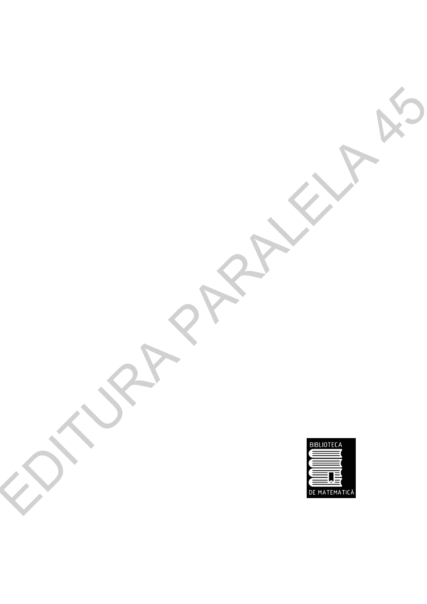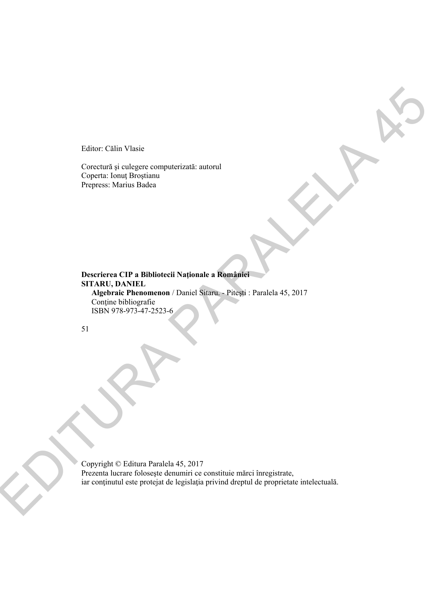Editor: Călin Vlasie

Corectură şi culegere computerizată: autorul Coperta: Ionuţ Broştianu Prepress: Marius Badea

**Descrierea CIP a Bibliotecii Naţionale a României SITARU, DANIEL Algebraic Phenomenon** / Daniel Sitaru. - Piteşti : Paralela 45, 2017 Conține bibliografie ISBN 978-973-47-2523-6 Editor. Calia Vlasic<br>
Constant yi collegers computer zontic instant<br>
Constant yi collegers computer zontic instant<br>
Propers. Values I basis<br>
Marchar Rechnologie<br>
SUPER PRODUCES (Signal Propers)<br>
SUPER PRODUCES (Signal Pro

51

Copyright © Editura Paralela 45, 2017 Prezenta lucrare foloseşte denumiri ce constituie mărci înregistrate, iar conţinutul este protejat de legislaţia privind dreptul de proprietate intelectuală.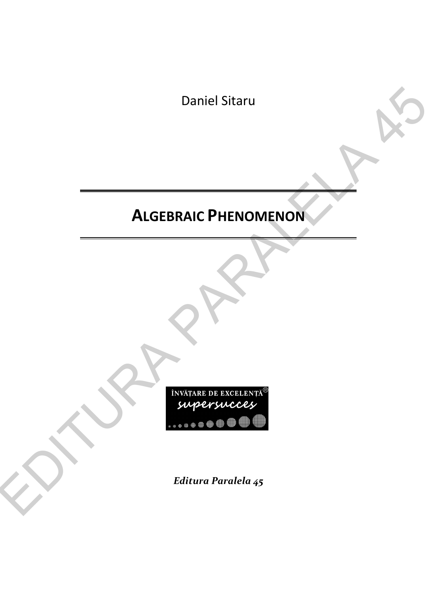Daniel Sitaru

## **ALGEBRAIC PHENOMENON**



*Editura Paralela 45*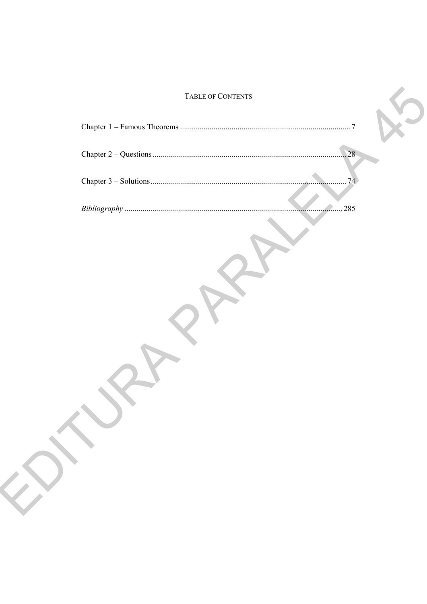## TABLE OF CONTENTS

| TABLE OF CONTENTS |     |  |
|-------------------|-----|--|
|                   |     |  |
|                   | .28 |  |
|                   | 74  |  |
| 285               |     |  |
|                   |     |  |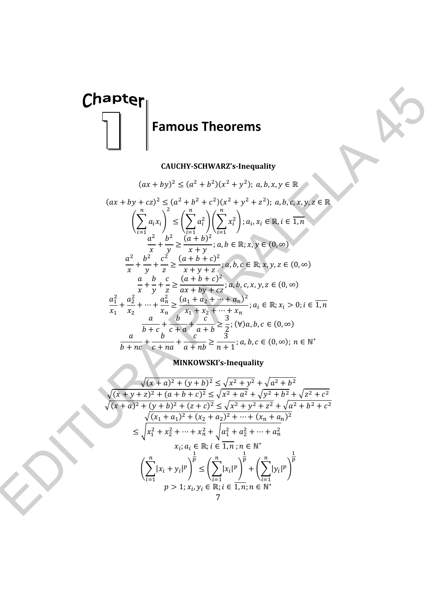

## **CAUCHY-SCHWARZ's-Inequality**

**Chapter**  
\n**Examples**  
\n**Examples**  
\n
$$
(ax + by)^2 \le (a^2 + b^2)(x^2 + y^2); a, b, x, y \in \mathbb{R}
$$
\n
$$
(ax + by + cz)^2 \le (a^2 + b^2)(x^2 + y^2); a, b, x, y \in \mathbb{R}
$$
\n
$$
\left(\sum_{i=1}^{n} a_i x_i\right)^2 \le \left(\sum_{i=1}^{n} a_i^2\right) \left(\sum_{i=1}^{n} x_i^2\right) : a_i, x_i \in \mathbb{R}, i \in \mathbb{T}, n
$$
\n
$$
\left(\sum_{i=1}^{n} a_i x_i\right)^2 \le \left(\sum_{i=1}^{n} a_i^2\right) \left(\sum_{i=1}^{n} x_i^2\right) : a_i, x_i \in \mathbb{R}, i \in \mathbb{T}, n
$$
\n
$$
\frac{a^2}{x} + \frac{b^2}{y} + \frac{c^2}{z^2} = \frac{(a+b+c)^2}{(a+b+c)^2}; a, b \in \mathbb{R}; x, y \in (0, \infty)
$$
\n
$$
\frac{a^2}{x} + \frac{a^2}{y} + \frac{c^2}{z} = \frac{(a+b+c)^2}{(a+b+c)^2}; a, b, c \in \mathbb{R}; x, y, z \in (0, \infty)
$$
\n
$$
\frac{a^2}{x_1} + \frac{a^2}{x_2^2} + \dots + \frac{a^2}{x_n} \ge \frac{(a_1 + a_2 + \dots + a_n)}{x_1 + x_2 + \dots + x_n}; a_i \in \mathbb{R}; x_i > 0; i \in \mathbb{T}, n
$$
\n
$$
\frac{a}{b + c} + \frac{b}{c + a} + \frac{c}{a + b} \ge \frac{3}{2}; (V)a, b, c \in (0, \infty)
$$
\n
$$
\frac{a}{b + ac} + \frac{b}{c + a} + \frac{c}{a + b} \ge \frac{3}{2}; (V)a, b, c \in (0, \infty)
$$
\n
$$
\frac{a}{b + ac} + \frac{b}{c + a} + \frac{c}{a + b} \ge \frac{3}{2}; (V)a, b, c \in (0, \infty)
$$
\n $$ 

**MINKOWSKI's-Inequality** 

$$
\sqrt{(x+a)^2 + (y+b)^2} \le \sqrt{x^2 + y^2} + \sqrt{a^2 + b^2}
$$
  
\n
$$
\sqrt{(x+y+z)^2 + (a+b+c)^2} \le \sqrt{x^2 + a^2} + \sqrt{y^2 + b^2} + \sqrt{z^2 + c^2}
$$
  
\n
$$
\sqrt{(x+a)^2 + (y+b)^2 + (z+c)^2} \le \sqrt{x^2 + y^2 + z^2} + \sqrt{a^2 + b^2 + c^2}
$$
  
\n
$$
\sqrt{(x_1 + a_1)^2 + (x_2 + a_2)^2 + \dots + (x_n + a_n)^2}
$$
  
\n
$$
\le \sqrt{x_1^2 + x_2^2 + \dots + x_n^2} + \sqrt{a_1^2 + a_2^2 + \dots + a_n^2}
$$
  
\n
$$
x_i; a_i \in \mathbb{R}; i \in \overline{1, n}; n \in \mathbb{N}^*
$$
  
\n
$$
\left(\sum_{i=1}^n |x_i + y_i|^p\right)^{\frac{1}{p}} \le \left(\sum_{i=1}^n |x_i|^p\right)^{\frac{1}{p}} + \left(\sum_{i=1}^n |y_i|^p\right)^{\frac{1}{p}}
$$
  
\n
$$
p > 1; x_i, y_i \in \mathbb{R}; i \in \overline{1, n}; n \in \mathbb{N}^*
$$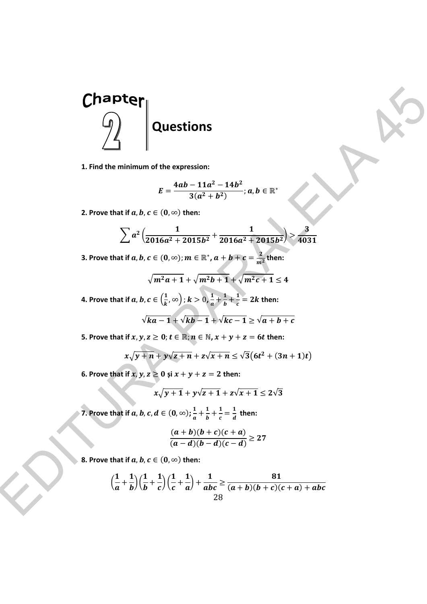

**1. Find the minimum of the expression:** 

$$
E=\frac{4ab-11a^2-14b^2}{3(a^2+b^2)}; a,b\in\mathbb{R}^*
$$

**2.** Prove that if  $a, b, c \in (0, \infty)$  then:

$$
\sum a^2 \left( \frac{1}{2016a^2 + 2015b^2} + \frac{1}{2016a^2 + 2015b^2} \right) > \frac{3}{4031}
$$

3. Prove that if  $a, b, c \in (0, \infty); m \in \mathbb{R}^*, a+b+c=\frac{2}{m^2}$  then:

$$
\sqrt{m^2a+1}+\sqrt{m^2b+1}+\sqrt{m^2c+1}\leq 4
$$

**4.** Prove that if  $a, b, c \in \left(\frac{1}{k}, \infty\right)$  ;  $k > 0$ ,  $\frac{1}{a} + \frac{1}{b}$  $\frac{1}{b} + \frac{1}{c} = 2k$  then:

$$
\sqrt{ka-1} + \sqrt{kb-1} + \sqrt{kc-1} \ge \sqrt{a+b+c}
$$

 **5. Prove that if**  $x, y, z \geq 0$ ;  $t \in \mathbb{R}$ ;  $n \in \mathbb{N}$ ,  $x + y + z = 6t$  then:

$$
x\sqrt{y+n}+y\sqrt{z+n}+z\sqrt{x+n}\leq \sqrt{3}(6t^2+(3n+1)t)
$$

**6.** Prove that if  $x, y, z \ge 0$  și  $x + y + z = 2$  then:

$$
x\sqrt{y+1} + y\sqrt{z+1} + z\sqrt{x+1} \le 2\sqrt{3}
$$

**7.** Prove that if  $a, b, c, d \in (0, \infty); \frac{1}{a} + \frac{1}{b}$  $\frac{1}{b} + \frac{1}{c}$  $\frac{1}{c} = \frac{1}{d}$  then:

$$
\frac{(a+b)(b+c)(c+a)}{(a-d)(b-d)(c-d)} \ge 27
$$

**8. Prove that if**  $a, b, c \in (0, \infty)$  then:

$$
\left(\frac{1}{a}+\frac{1}{b}\right)\left(\frac{1}{b}+\frac{1}{c}\right)\left(\frac{1}{c}+\frac{1}{a}\right)+\frac{1}{abc}\geq \frac{81}{(a+b)(b+c)(c+a)+abc}
$$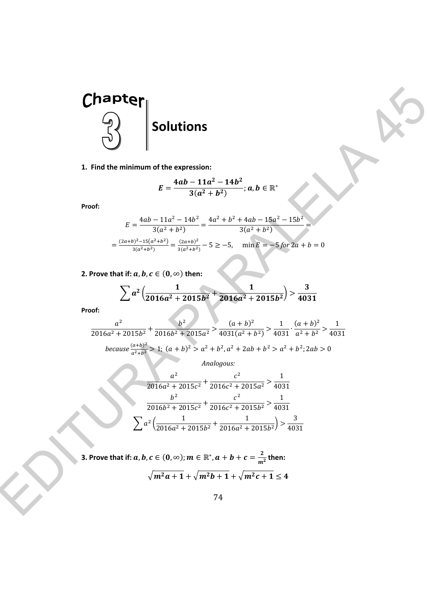

**1. Find the minimum of the expression:** 

$$
E=\frac{4ab-11a^2-14b^2}{3(a^2+b^2)}; a,b\in\mathbb{R}^*
$$

**Proof:** 

$$
E = \frac{4ab - 11a^2 - 14b^2}{3(a^2 + b^2)} = \frac{4a^2 + b^2 + 4ab - 15a^2 - 15b^2}{3(a^2 + b^2)} = \frac{(2a+b)^2 - 15(a^2 + b^2)}{3(a^2 + b^2)} = \frac{(2a+b)^2}{3(a^2 + b^2)} - 5 \ge -5, \quad \min E = -5 \text{ for } 2a + b = 0
$$

**2.** Prove that if:  $a, b, c \in (0, \infty)$  then:

$$
\sum a^2 \left( \frac{1}{2016a^2 + 2015b^2} + \frac{1}{2016a^2 + 2015b^2} \right) > \frac{3}{4031}
$$

**Proof:** 

$$
\frac{a^2}{2016a^2 + 2015b^2} + \frac{b^2}{2016b^2 + 2015a^2} > \frac{(a+b)^2}{4031(a^2 + b^2)} > \frac{1}{4031} \cdot \frac{(a+b)^2}{a^2 + b^2} > \frac{1}{4031}
$$
\n
$$
\text{because } \frac{(a+b)^2}{a^2 + b^2} > 1; \ (a+b)^2 > a^2 + b^2, a^2 + 2ab + b^2 > a^2 + b^2; 2ab > 0
$$

*Analogous:* 

**Chapter**  
\n1. Find the minimum of the expression:  
\n
$$
E = \frac{4ab - 11a^2 - 14b^2}{3(a^2 + b^2)}; a, b \in \mathbb{R}^n
$$
\nProof:  
\n
$$
E = \frac{4ab - 11a^2 - 14b^2}{3(a^2 + b^2)} = \frac{4a^2 + b^2 + 4ab - 15a^2 - 15b^2}{3(a^2 + b^2)}
$$
\n
$$
= \frac{(2a+b)^3 - 15(a^2 + b^2)}{3(a^2 + b^2)} = \frac{(2a+b)^2}{3(a^2 + b^2)} - 5 \ge -5, \quad \min E = -5 \text{ for } 2a + b = 0
$$
\n2. Prove that if: a, b, c \in (0, \infty) then:  
\n
$$
\sum_{\substack{a^2 \\ 2016a^2 + 2015b^2}} x^2 \frac{1}{2016a^2 + 2015b^2} + \frac{b^2}{2016a^2 + 2015b^2} - \frac{1}{3031} \frac{1}{(a+b)^2} - \frac{1}{4031}
$$
\nProof:  
\n
$$
\sum_{\substack{a^2 \\ 2016a^2 + 2015b^2}} x^2 \frac{1}{2016b^2 + 2015a^2} - \frac{(a+b)^2}{4031(a^2 + b^2)} > \frac{1}{a^2 + b^2} - \frac{1}{4031}
$$
\nbecause  $\frac{a^2}{a^2 + b^2} \ge 1; (a+b)^2 \ge a^2 + b^2 \cdot 2ab + b^2 > a^2 + b^2 \cdot 2ab > 0$   
\n
$$
\frac{a^2}{2016b^2 + 2015c^2} + \frac{c^2}{2016c^2 + 2015c^2} + \frac{c^2}{2016c^2 + 2015b^2} > \frac{1}{4031}
$$
\n
$$
\sum_{\substack{a \neq 0 \\ a \neq 0 \\ a \neq 0}} \frac{b^2}{2016a^2 + 2015b^2} + \frac{c^2}{2016c^2 + 2015b^2} > \frac{1}{4
$$

3. Prove that if:  $a, b, c \in (0, \infty)$ ;  $m \in \mathbb{R}^*, a+b+c=\frac{2}{m^2}$  then:  $\sqrt{m^2a+1} + \sqrt{m^2b+1} + \sqrt{m^2c+1} \leq 4$